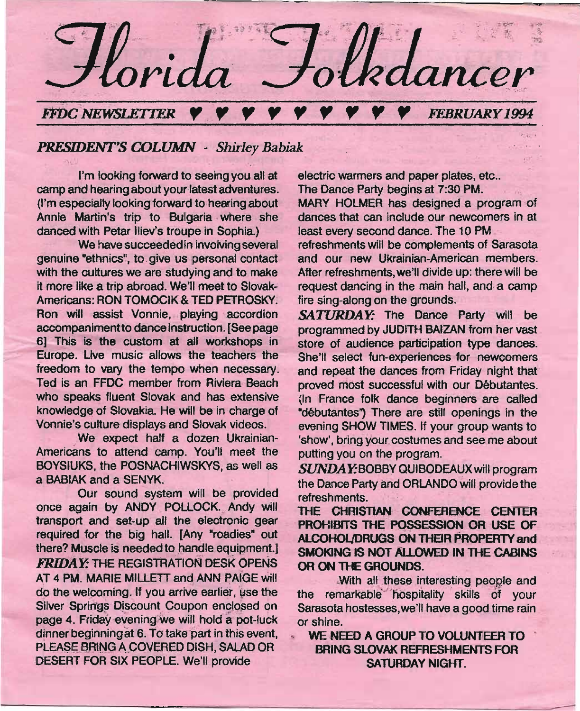

~-----------------============-=-=-------------------------------~~=~

## *PRESIDENT'S COLUMN - Shirley Babiak*

I'm looking forward to seeing you all at camp and hearing about your latest adventures. (I'm especially looking forward to hearing about Annie Martin's trip to Bulgaria where she danced with Petar lliev's troupe in Sophia)

We have succeeded in involving several genuine "ethnics", to give us personal contact with the cultures we are studying and to make it more like a trip abroad. We'll meet to Slovak-Americans: RON TOMOCIK & TED PETROSKY. Ron will assist Vonnie, playing accordion accompanimentto dance instruction. [See page 6) This is the custom at all workshops in Europe. Live music allows the teachers the freedom to vary the tempo when necessary. Ted is an FFDC member from Riviera-Beach who speaks fluent Slovak and has extensive knowledge of Slovakia. He will be in charge of Vonnie's culture displays and Slovak videos.

We expect half a dozen Ukrainian-Americans to attend camp. You'll meet the BOYSIUKS, the POSNACHIWSKYS, as well as a BABIAK and a SENYK.

Our sound system will be provided once again by ANDY POLLOCK. Andy will transport and set-up all the electronic gear required for the big hall. [Any "roadies" out there? Muscle is needed to handle equipment.] **FRIDAY:** THE REGISTRATION DESK OPENS AT 4 PM. MARIE MILLETT and ANN PAIGE will do the welcoming. If you arrive earlier, use the Silver Springs Discount Coupon enclosed on page 4. Friday evening we will hold a pot-luck dinner beginning at 6. To take part in this event, PLEASE BRING A COVERED DISH, SALAD OR DESERT FOR SIX PEOPLE. We'll provide

electric warmers and paper plates, etc.. The Dance Party begins at 7:30 PM. MARY HOLMER has designed a program of dances that can include our newcomers in at least every second dance. The 10 PM\_' refreshments will be complements of Sarasota and our new Ukrainian-American members. After refreshments,we'll divide up: there will be

.;:.

request dancing in the main hall, and a camp fire sing-along on the grounds.

**SATURDAY:** The Dance Party will be programmed by JUDITH BAIZAN from her vast store of audience participation type dances. She'll select fun-experiences for newcomers and repeat the dances from Friday night that proved most successful with our Debutantes. (In France folk dance beginners are called "débutantes") There are still openings in the evening SHOW TIMES. If your group wants to 'show', bring your costumes and see me about putting you on the program.

SUNDAY:BOBBY QUIBODEAUX will program the Dance Party and ORLANDOwill provide the refreshments.

THE CHRISTIAN CONFERENCE CENTER PROHIBITS THE POSSESSION OR USE OF ALCOHOL/DRUGS ON THEIR PROPERTY and SMOKING IS NOT ALLOWED IN THE CABINS OR ON THE GROUNDS.

With all these interesting people and the remarkable hospitality skills of your Sarasota hostesses, we'll have a good time rain or shine.

WE NEED A GROUP TO VOLUNTEER TO. BRING SLOVAK REFRESHMENTS FOR SATURDAY NIGHT.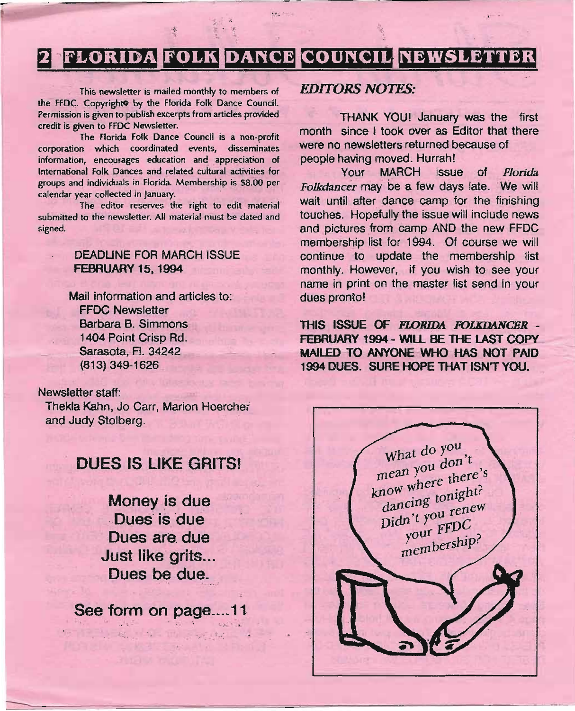## **DANCE COUNCIL NEWSLETTER**

San 2

 $\cdots$  $\frac{1}{2}+\frac{1}{2}$ 

This newsletter is mailed monthly to members of *EDITORS NOTES:* the FFDC. Copyright<sup>o</sup> by the Florida Folk Dance Council. Permission is given to publish excerpts from articles provided credit is given to FFDC Newsletter.

The Florida Folk Dance Council is a non-profit corporation which coordinated events, disseminates information, encourages education and appreciation of International Folk Dances and related cultural activities for groups and individuals in Florida Membership is \$8.00 per calendar year collected in January.

The editor reserves the right to edit material submitted to the newsletter. All material must be dated and signed.

### DEADLINE FOR MARCH ISSUE FEBRUARY 15, 1994

Mail information and articles to: FFDC Newsletter Barbara B. Simmons 1404 Point Crisp Rd. Sarasota, Fl. 34242 (813) 349-1626,

### Newsletter staff:

Thekla Kahn, Jo Carr, Marion Hoerchei and Judy Stolberg.

## DUES IS LIKE GRITS!

Money is due .Dues is due Dues are due Just like grits... Dues be due.

See form on page....11

~"

THANK YOU! January was the first month since I took over as Editor that there were no newsletters returned because of people having moved. Hurrah!

Your MARCH issue of *Florida. Folkdancer* may be a few days late. We will wait until after dance camp for the finishing touches. Hopefully the issue will include news and pictures from camp AND the new FFDC membership list for 1994. Of course we will continue to update the membership list monthly. However, if you wish to see your name in print on the master list send in your dues pronto!

THIS ISSUE OF *FLORIDA FOLKDANCBR -* FEBRUARY 1994 - WILL BE THE LAST COPY MAILED TO ANYONE WHO HAS NOT PAID 1994 DUES\_ SURE HOPE THAT ISN'T YOU:

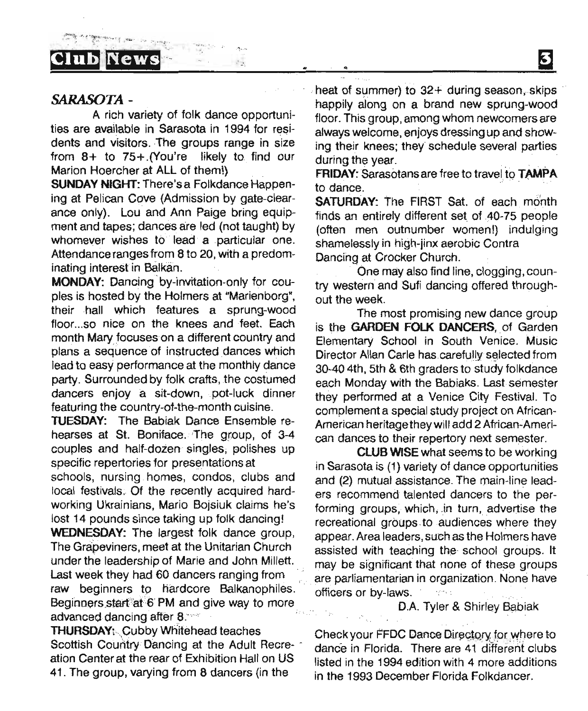### *SARASOTA -*

A rich variety of folk dance opportunities are available in Sarasota in 1994 for residents and visitors. The groups range in size from 8+ to 75+ .(You're likely to find our Marion Hoercher at ALL of them!)

.,,~.~.." .... ..~,....

 $\sigma_{\rm{max}}$ 

SUNDAY NIGHT: There's a Folkdance Happening at Pelican Cove (Admission by gate-clearance only). Lou and Ann Paige bring equipment and tapes; dances are led (not taught) by whomever wishes to lead a particular one. Attendance ranges from 8 to 20, with a predominating interest in Balkan.

MONDAY: Dancing 'by-invitation-only for couples is hosted by the Holmers at "Marienborg", their hall which features a sprung-wood floor...so nice on the knees and feet. Each month Mary focuses on a different country and plans a sequence of instructed dances which iead to easy performance at the monthly dance party. Surrounded by folk crafts, the costumed dancers enjoy a sit-down, pot-luck dinner featuring the country-of-the-month cuisine.

TUESDAY: The Babiak Dance Ensemble rehearses at St. Boniface. The group, of 3-4 couples and half-dozen singles, polishes up specific repertories for presentations at schools, nursing homes, condos, clubs and local festivals. Of the recently acquired hardworking Ukrainians, Mario Bojsiuk claims he's lost 14 pounds since taking up folk dancing! WEDNESDAY: The largest folk dance group, The Grapeviners, meet at the Unitarian Church under the leadership of Marie and John Millett. Last week they had 60 dancers ranging from raw beginners to hardcore Balkanophiles. Beginners start at 6 PM and give way to more advanced dancing after 8.

THURSDAY: Cubby Whitehead teaches Scottish Country Dancing at the Adult Recreation Center at the rear of Exhibition Hall on US 41. The group, varying from 8 dancers (in the

heat of summer) to  $32+$  during season, skips happily along on a brand new sprung-wood floor. This group, among whom newcomers are always welcome, enjoys dressing up and shewing their knees; they schedule several parties during the year.

冈

FRIDAY: Sarasotans are free to travel to TAMPA to dance.

SATURDAY: The FIRST Sat. of each month finds an entirely different set of AO-75 people (often men outnumber women!) indulging shamelessly in high-jinx aerobic Contra Dancing at Crocker Church.

One may also find line, clogging, country western and Sufi dancing offered throughout the week.

The most promising new dance group is the GARDEN FOLK DANCERS, of Garden Elementary School in South Venice. Music Director Allan Carle has carefully selected from 30-40 4th, 5th & 6th graders to stUdy folkdance each Monday with the Babiaks. Last semester they performed at a Venice City Festival. To complement a special study project on African-American heritage they will add 2 Atrican-Amerlcan dances to their repertory next semester.

**CLUB WISE what seems to be working** in Sarasota is (1) variety of dance opportunities and (2) mutual assistance. The main-line leaders recommend talented dancers to the performing groups, which, in turn, advertise the recreational groups to audiences where they appear. Area leaders, such as the Holmers have assisted with teaching the, school groups. It may be significant that none of these groups .are parliamentarian in organization. None have officers or by-laws.

### D.A. Tyler & Shirley Babiak

Check your FFDC Dance Directory for where to dance in Florida. There are 41 different clubs listed in the 1994 edition with 4 more additions in the 1993 December Florida Folkdancer.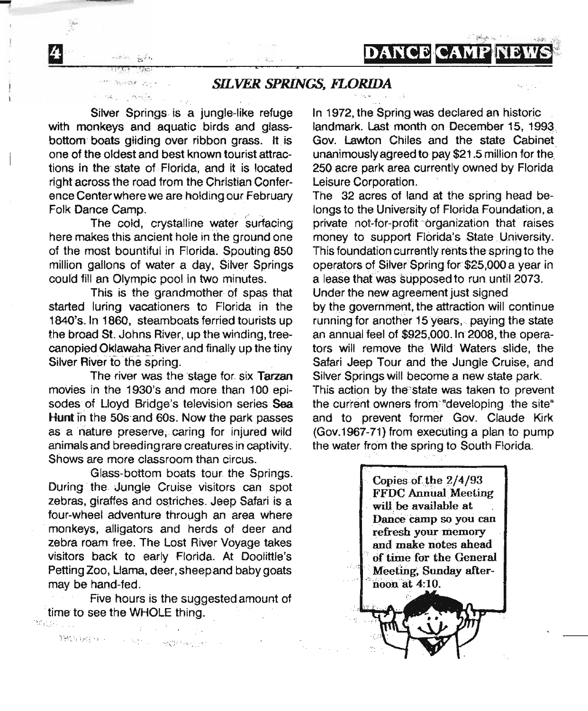*SILVER SPRINGS, FLORIDA*

e

Silver Springs is a jungle-like refuge with monkeys and aquatic birds and glassbottom boats gliding over ribbon grass. It is one of the oldest and best known tourist attractions in the' state of Florida, and it is located right across the road from the Christian Conference Center where we are holding our February Folk Dance Camp.

The cold, crystalline water surfacing here makes this ancient hole in the ground one of the most bountiful in Florida. Spouting 850 million gallons of water a day, Silver Springs could fill an Olympic pool in two minutes.

This is the grandmother of spas that started luring vacationers to Florida in the 1840's. In 1860, steamboats ferried tourists up the broad St. Johns River, up the winding. treecanopied Oklawaha River and finally up the tiny Silver River to the spring.

The river was the stage for six Tarzan movies in the 1930's and more. than 100 episodes of Lloyd Bridge's television series Sea Hunt in the 50s and 60s. Now the park passes as a nature preserve, caring for injured wild animals and breeding rare creatures in captivity. Shows are more classroom than circus.

Glass-bottom boats tour the Springs. During the Jungle Cruise visitors can spot zebras, giraffes and Ostriches. Jeep Safari is a four-wheel adventure through an area where 'monkeys. alligators and herds of deer and zebra roam free. The Lost River Voyage takes visitors back to early Florida. At Doolittle's Petting Zoo. Llama, deer, sheep and baby goats may be hand-fed.

Five hours is the suggested amount of time to see the WHOLE thing. Magalicus I

 $\mathcal{W}^{(n)}_{\mathcal{M}}(\mathcal{M}^{(n)}_{\mathcal{M}}) \leq \cdots \leq \mathcal{W}^{(n)}_{\mathcal{M}^{(n)}_{\mathcal{M}}(\mathcal{M}^{(n)}_{\mathcal{M}})} \leq \cdots$ 

In 1972, the Spring was declared an historic landmark. Last month on December 15, 1993. Gov. Lawton Chiles and the state Cabinet unanimously agreed to pay \$21.5 million for the, 250 acre park area currently owned by Florida Leisure Corporation.

DANCEICAMP

The 32 acres of land at the spring head belongs to the University of Florida Foundation, a private not-for-profit organization that raises money to support Florida's State University. This foundation currently rents the spring to the operators of Silver Spring for \$25,000 a year in a lease that was supposed to run until 2073. Under the new agreement just signed

by the government, the attraction will continue running for another 15 years.. paying the state an annual feel of \$925,000. In 2008, the operators will remove the Wild' Waters slide, the Safari Jeep Tour and the Jungle Cruise, and Silver Springs will become a new state park.

This action by the state was taken to prevent the current owners from "developing the site" and to prevent former Gov. Claude Kirk (Gov.1967-71) from executing a plan to pump the water from the spring to South Florida.

> Copies of the  $2/4/93$ FFDC Annual Meeting will be available at Dance camp so you can .refresh your memory and make notes ahead of time for the General Meeting, Sunday afternoon at 4:10.

-•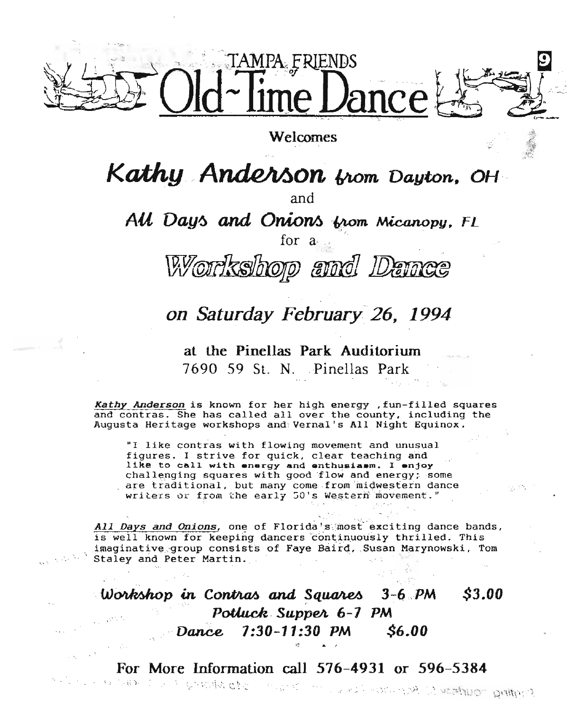

Welcomes

Kathy Anderson from Dayton, OH

and

All Days and Onions from Micanopy, FL

for a

Workshop and Da

## on Saturday February 26, 1994

at the Pinellas Park Auditorium 7690 59 St. N. Pinellas Park

Kathy Anderson is known for her high energy , fun-filled squares and contras. She has called all over the county, including the Augusta Heritage workshops and Vernal's All Night Equinox.

"I like contras with flowing movement and unusual figures. I strive for quick, clear teaching and like to call with energy and enthusiasm. I enjoy challenging squares with good flow and energy; some are traditional, but many come from midwestern dance writers or from the early 50's Western movement."

All Days and Onions, one of Florida's most exciting dance bands, is well known for keeping dancers continuously thrilled. This imaginative group consists of Faye Baird, Susan Marynowski. Tom Staley and Peter Martin.

Workshop in Contras and Squares  $3-6$   $PM$ *S3.00* Potluck Supper 6-7 PM \$6.00  $7:30 - 11:30$  PM Dance

For More Information call 576-4931 or 596-5384 シリア かわかわ チュア こうかい www.com.com/2012/http://www.com/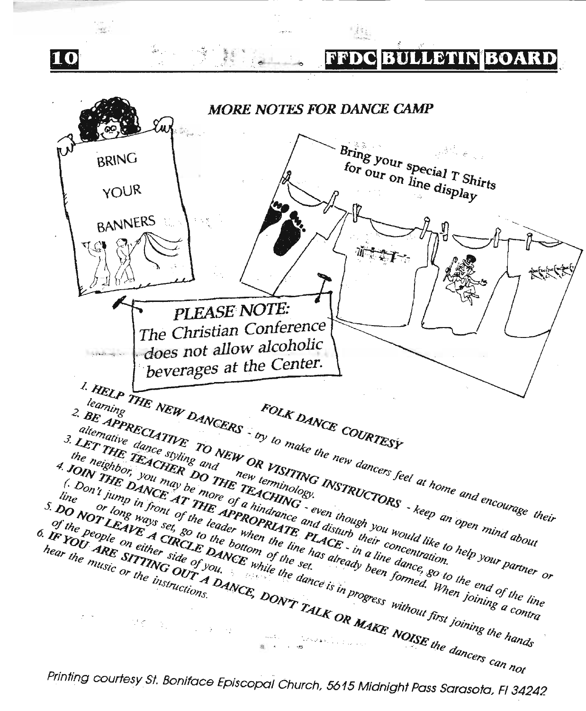$\sim$  $\mathcal{L}_{\mathcal{A},\mathcal{B}}$ er<br>U⊉t i l FFDCIBULLETINIBOARD 10 **MORE NOTES FOR DANCE CAMP**  $\gamma_{n}$  , Bring your special T Shirts **BRING**  $f_{\text{Or}}$  our on  $\lim_{M \to \infty}$  display YOUR **BANNERS** こすー \*\*\*\* PLEASE NOTE: The Christian Conference does not allow alcoholic أأرب وسأضحج أأرا beverages at the Center. I. HELP THE NEW DANCERS - by to make the new dancers feel at home and encourage their Laming<br>
2. BE APRECLATIVE TO NEW OR VISITING INSTRUCTORS - keep an open mind about alternative dance styling and<br>the neighbor: volumer DO THE TEACHINGS.<br>The neighbor: volumay be more of a hindrance and disturb you would like to help your partner or the neighbor, you may be more of a hindrance and disturb their concentration.<br>
C Don't himp in front of the leader when the line has already been formed. When ioning a contration I JOIN THE DANCE AT THE APPROPRIATE PLACE.<br>
The on't jump in front of the leader when the line has already been formed. When joining a contra-<br>
or long ways set, so to the bottom of the set,<br>
set, so to the set, and the s line<br>S. DO NOT LEAVE A CRCLE be bottom of the set.<br>of the beople on either side of vou, while the dance is in progress without first joining the hands 6. IF YOU ARE SITUNG OUT YOU, THE DON'T TALK OR MAKE NOISE the dancers can not

Printing courtesy St. Boniface Episcopal Church, 5615 Midnight Pass Sarasota, FI 34242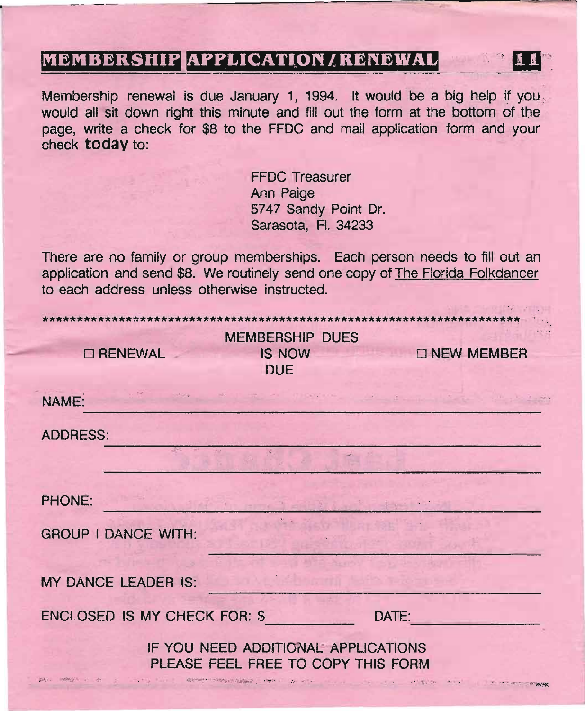## **MEMBERSHIP APPLICATION / RENEWAL**

Membership renewal is due January 1, 1994. It would be a big help if you would all sit down right this minute and fill out the form at the bottom of the page, write a check for \$8 to the FFDC and mail application form and your check today to:

> **FFDC** Treasurer Ann Paige 5747 Sandy Point Dr. Sarasota, Fl. 34233

There are no family or group memberships. Each person needs to fill out an application and send \$8. We routinely send one copy of The Florida Folkdancer to each address unless otherwise instructed.

| <b>MEMBERSHIP DUES</b>              |               |       |                    |
|-------------------------------------|---------------|-------|--------------------|
| <b>CI RENEWAL</b>                   | <b>IS NOW</b> |       | <b>ONEW MEMBER</b> |
|                                     | <b>DUE</b>    |       |                    |
| NAME:                               |               |       |                    |
|                                     |               |       |                    |
| <b>ADDRESS:</b>                     |               |       |                    |
|                                     |               |       |                    |
|                                     |               |       |                    |
| PHONE:                              |               |       |                    |
| <b>GROUP I DANCE WITH:</b>          |               |       |                    |
|                                     |               |       |                    |
| <b>MY DANCE LEADER IS:</b>          |               |       |                    |
|                                     |               |       |                    |
| ENCLOSED IS MY CHECK FOR: \$        |               | DATE: |                    |
| IF YOU NEED ADDITIONAL APPLICATIONS |               |       |                    |
| PLEASE FEEL FREE TO COPY THIS FORM  |               |       |                    |
|                                     |               |       |                    |